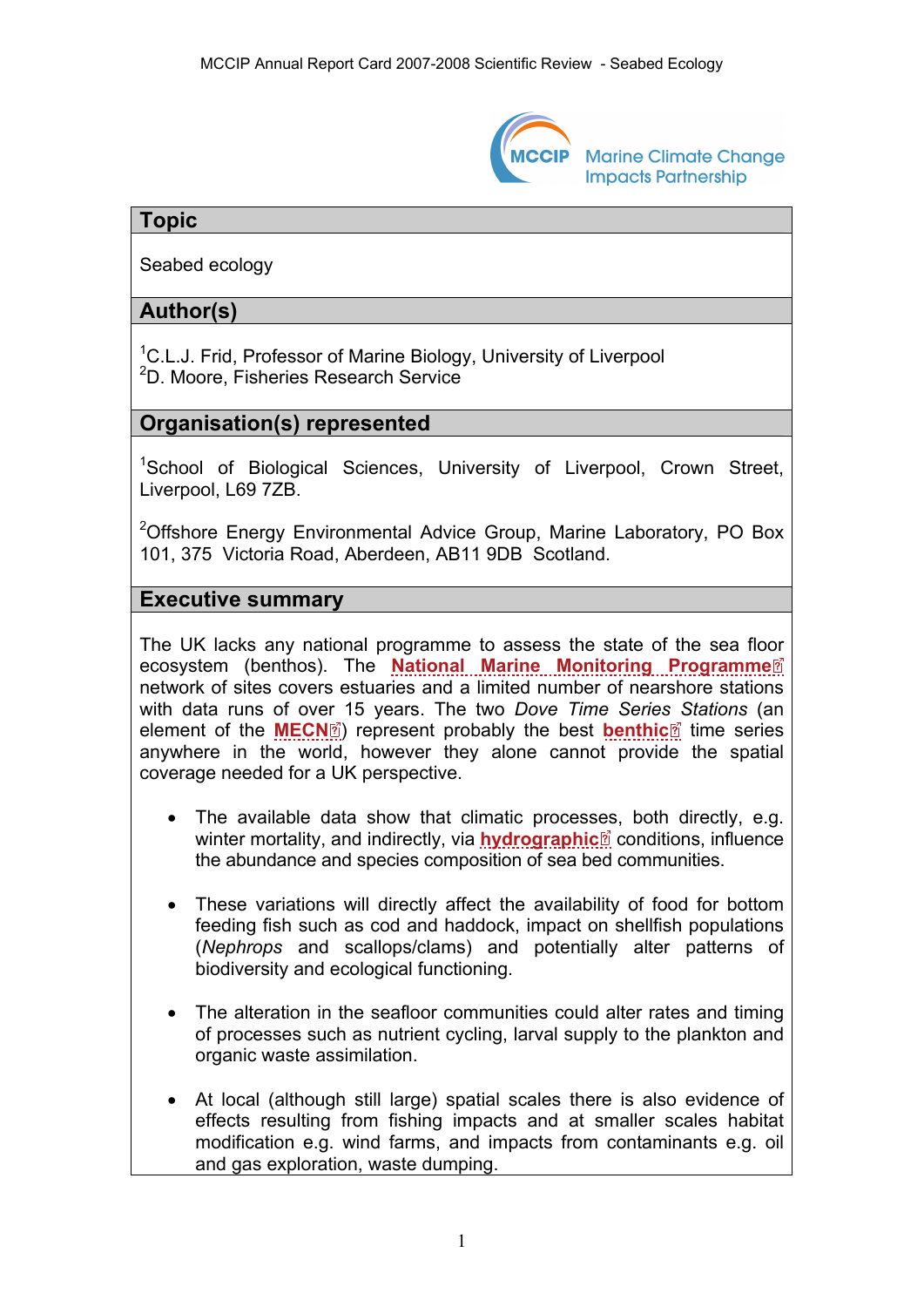

**Marine Climate Change Impacts Partnership** 

# **Topic**

Seabed ecology

# **Author(s)**

<sup>1</sup>C.L.J. Frid, Professor of Marine Biology, University of Liverpool 2 D. Moore, Fisheries Research Service

# **Organisation(s) represented**

<sup>1</sup>School of Biological Sciences, University of Liverpool, Crown Street, Liverpool, L69 7ZB.

<sup>2</sup>Offshore Energy Environmental Advice Group, Marine Laboratory, PO Box 101, 375 Victoria Road, Aberdeen, AB11 9DB Scotland.

#### **Executive summary**

The UK lacks any national programme to assess the state of the sea fl[oor](http://www.mccip.org.uk/arc/2007/glossary.htm)  ecosystem (benthos). The **[National Marine Monitoring Programme](http://www.mccip.org.uk/arc/2007/glossary.htm#NMMP)** network of sites covers estuaries and a limited number of nearshore stations with data runs of ov[er 1](http://www.mccip.org.uk/arc/2007/glossary.htm)5 years. The two *Dove Time Serie[s S](http://www.mccip.org.uk/arc/2007/glossary.htm)tations* (an element of the **[MECN](http://www.mccip.org.uk/arc/2007/glossary.htm#MECN)**<sup>[2]</sup> represent probably the best **[benthic](http://www.mccip.org.uk/arc/2007/glossary.htm#Benthic_organisms)**<sup>[2]</sup> time series anywhere in the world, however they alone cannot provide the spatial coverage needed for a UK perspective.

- The available data show that climatic proces[ses](http://www.mccip.org.uk/arc/2007/glossary.htm), both directly, e.g. winter mortality, and indirectly, via **[hydrographic](http://www.mccip.org.uk/arc/2007/glossary.htm#Hydrographic)** conditions, influence the abundance and species composition of sea bed communities.
- These variations will directly affect the availability of food for bottom feeding fish such as cod and haddock, impact on shellfish populations (*Nephrops* and scallops/clams) and potentially alter patterns of biodiversity and ecological functioning.
- The alteration in the seafloor communities could alter rates and timing of processes such as nutrient cycling, larval supply to the plankton and organic waste assimilation.
- At local (although still large) spatial scales there is also evidence of effects resulting from fishing impacts and at smaller scales habitat modification e.g. wind farms, and impacts from contaminants e.g. oil and gas exploration, waste dumping.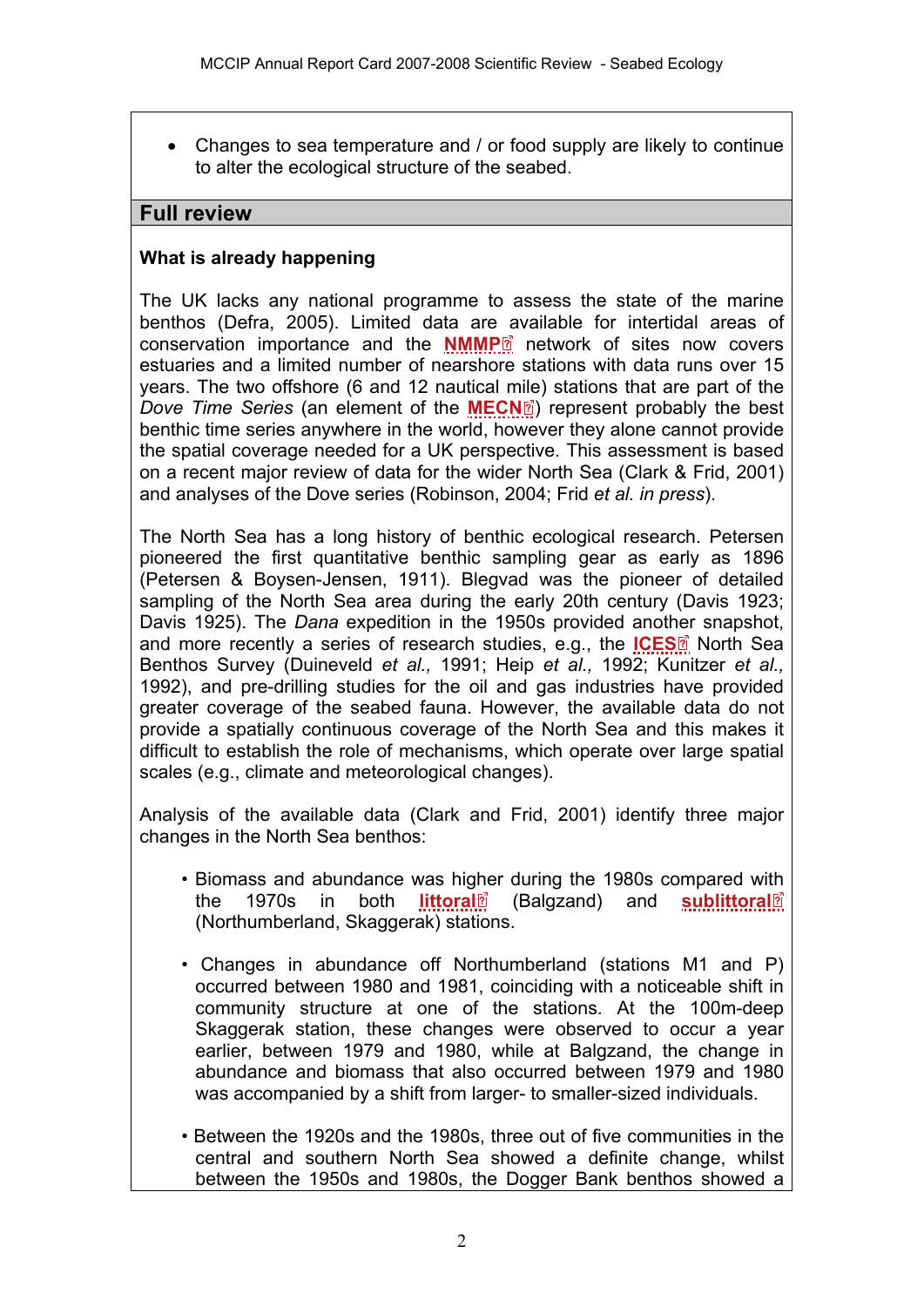• Changes to sea temperature and / or food supply are likely to continue to alter the ecological structure of the seabed.

### **Full review**

### **What is already happening**

The UK lacks any national programme to assess the state of the marine benthos (Defra, 2005). Limited data ar[e a](http://www.mccip.org.uk/arc/2007/glossary.htm)vailable for intertidal areas of conservation importance and the **[NMMP](http://www.mccip.org.uk/arc/2007/glossary.htm#NMMP)**<sup>2</sup> network of sites now covers estuaries and a limited number of nearshore stations with data runs over 15 years. The two offshore (6 and 12 nautical [mile](http://www.mccip.org.uk/arc/2007/glossary.htm)) stations that are part of the *Dove Time Series* (an element of the **[MECN](http://www.mccip.org.uk/arc/2007/glossary.htm#MECN)**<sup>[2]</sup> represent probably the best benthic time series anywhere in the world, however they alone cannot provide the spatial coverage needed for a UK perspective. This assessment is based on a recent major review of data for the wider North Sea (Clark & Frid, 2001) and analyses of the Dove series (Robinson, 2004; Frid *et al. in press*).

The North Sea has a long history of benthic ecological research. Petersen pioneered the first quantitative benthic sampling gear as early as 1896 (Petersen & Boysen-Jensen, 1911). Blegvad was the pioneer of detailed sampling of the North Sea area during the early 20th century (Davis 1923; Davis 1925). The *Dana* expedition in the 1950s provided anot[her](http://www.mccip.org.uk/arc/2007/glossary.htm) snapshot, and more recently a series of research studies, e.g., the **[ICES](http://www.mccip.org.uk/arc/2007/glossary.htm#ICES)**<sup>[6]</sup> North Sea Benthos Survey (Duineveld *et al.,* 1991; Heip *et al.,* 1992; Kunitzer *et al.,* 1992), and pre-drilling studies for the oil and gas industries have provided greater coverage of the seabed fauna. However, the available data do not provide a spatially continuous coverage of the North Sea and this makes it difficult to establish the role of mechanisms, which operate over large spatial scales (e.g., climate and meteorological changes).

Analysis of the available data (Clark and Frid, 2001) identify three major changes in the North Sea benthos:

- Biomass and abundance was hi[ghe](http://www.mccip.org.uk/arc/2007/glossary.htm)r during the 1980s compared w[ith](http://www.mccip.org.uk/arc/2007/glossary.htm)  **the 1970s in both [littoral](http://www.mccip.org.uk/arc/2007/glossary.htm#Littoral)** (Balgzand) and **[sublittoral](http://www.mccip.org.uk/arc/2007/glossary.htm#Sublittoral)** (Northumberland, Skaggerak) stations.
- Changes in abundance off Northumberland (stations M1 and P) occurred between 1980 and 1981, coinciding with a noticeable shift in community structure at one of the stations. At the 100m-deep Skaggerak station, these changes were observed to occur a year earlier, between 1979 and 1980, while at Balgzand, the change in abundance and biomass that also occurred between 1979 and 1980 was accompanied by a shift from larger- to smaller-sized individuals.
- Between the 1920s and the 1980s, three out of five communities in the central and southern North Sea showed a definite change, whilst between the 1950s and 1980s, the Dogger Bank benthos showed a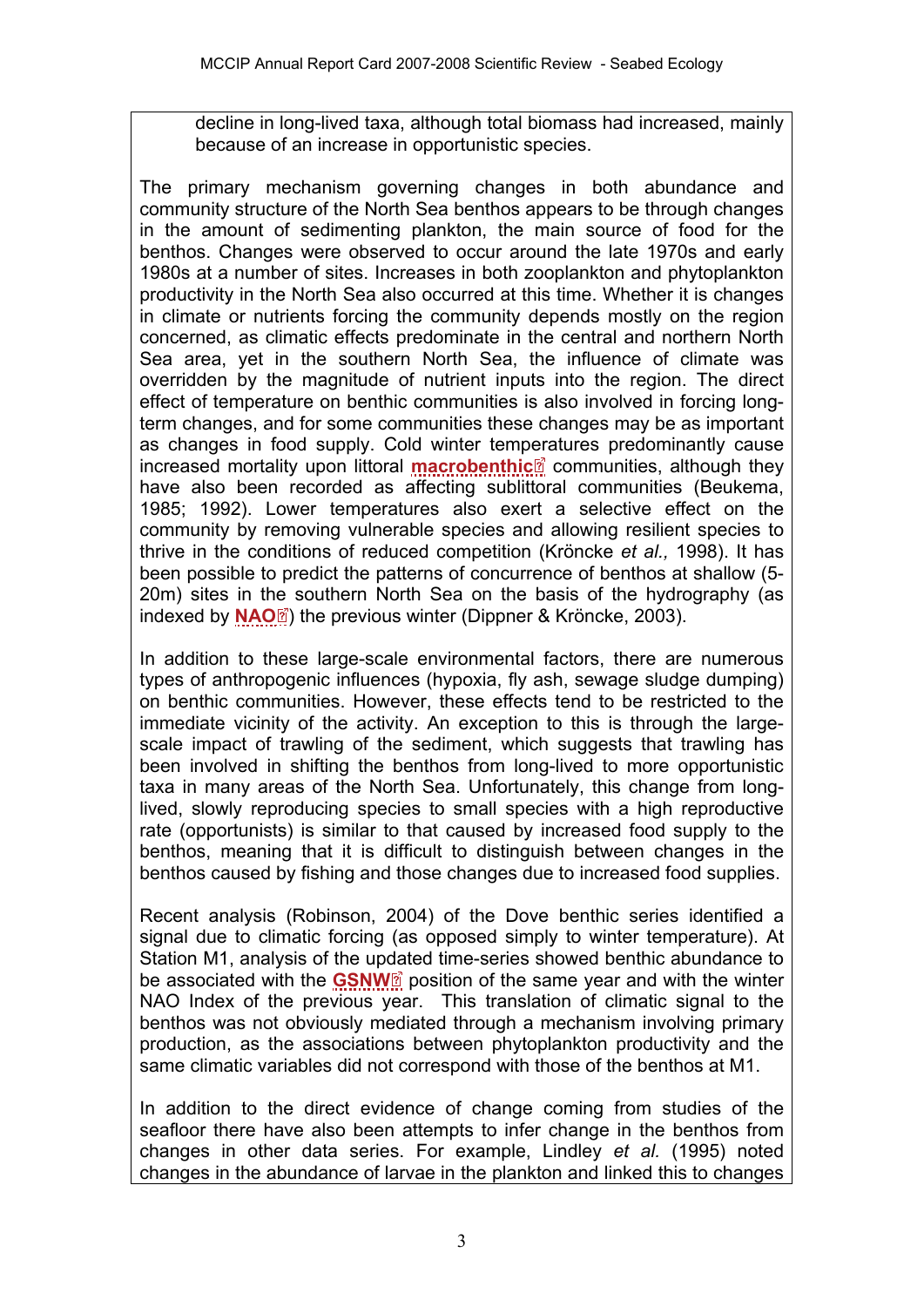decline in long-lived taxa, although total biomass had increased, mainly because of an increase in opportunistic species.

The primary mechanism governing changes in both abundance and community structure of the North Sea benthos appears to be through changes in the amount of sedimenting plankton, the main source of food for the benthos. Changes were observed to occur around the late 1970s and early 1980s at a number of sites. Increases in both zooplankton and phytoplankton productivity in the North Sea also occurred at this time. Whether it is changes in climate or nutrients forcing the community depends mostly on the region concerned, as climatic effects predominate in the central and northern North Sea area, yet in the southern North Sea, the influence of climate was overridden by the magnitude of nutrient inputs into the region. The direct effect of temperature on benthic communities is also involved in forcing longterm changes, and for some communities these changes may be as important as changes in food supply. Cold winter tem[pera](http://www.mccip.org.uk/arc/2007/glossary.htm)tures predominantly cause increased mortality upon littoral **[macrobenthic](http://www.mccip.org.uk/arc/2007/glossary.htm#Macrobenthic)** communities, although they have also been recorded as affecting sublittoral communities (Beukema, 1985; 1992). Lower temperatures also exert a selective effect on the community by removing vulnerable species and allowing resilient species to thrive in the conditions of reduced competition (Kröncke *et al.,* 1998). It has been possible to predict the patterns of concurrence of benthos at shallow (5- 20m) sites in t[he](http://www.mccip.org.uk/arc/2007/glossary.htm) southern North Sea on the basis of the hydrography (as indexed by **[NAO](http://www.mccip.org.uk/arc/2007/glossary.htm#NAO)**<sup>[2]</sup> the previous winter (Dippner & Kröncke, 2003).

In addition to these large-scale environmental factors, there are numerous types of anthropogenic influences (hypoxia, fly ash, sewage sludge dumping) on benthic communities. However, these effects tend to be restricted to the immediate vicinity of the activity. An exception to this is through the largescale impact of trawling of the sediment, which suggests that trawling has been involved in shifting the benthos from long-lived to more opportunistic taxa in many areas of the North Sea. Unfortunately, this change from longlived, slowly reproducing species to small species with a high reproductive rate (opportunists) is similar to that caused by increased food supply to the benthos, meaning that it is difficult to distinguish between changes in the benthos caused by fishing and those changes due to increased food supplies.

Recent analysis (Robinson, 2004) of the Dove benthic series identified a signal due to climatic forcing (as opposed simply to winter temperature). At Station M1, analysis of the u[pda](http://www.mccip.org.uk/arc/2007/glossary.htm)ted time-series showed benthic abundance to be associated with the **[GSNW](http://www.mccip.org.uk/arc/2007/glossary.htm#GSNW)** position of the same year and with the winter NAO Index of the previous year. This translation of climatic signal to the benthos was not obviously mediated through a mechanism involving primary production, as the associations between phytoplankton productivity and the same climatic variables did not correspond with those of the benthos at M1.

In addition to the direct evidence of change coming from studies of the seafloor there have also been attempts to infer change in the benthos from changes in other data series. For example, Lindley *et al.* (1995) noted changes in the abundance of larvae in the plankton and linked this to changes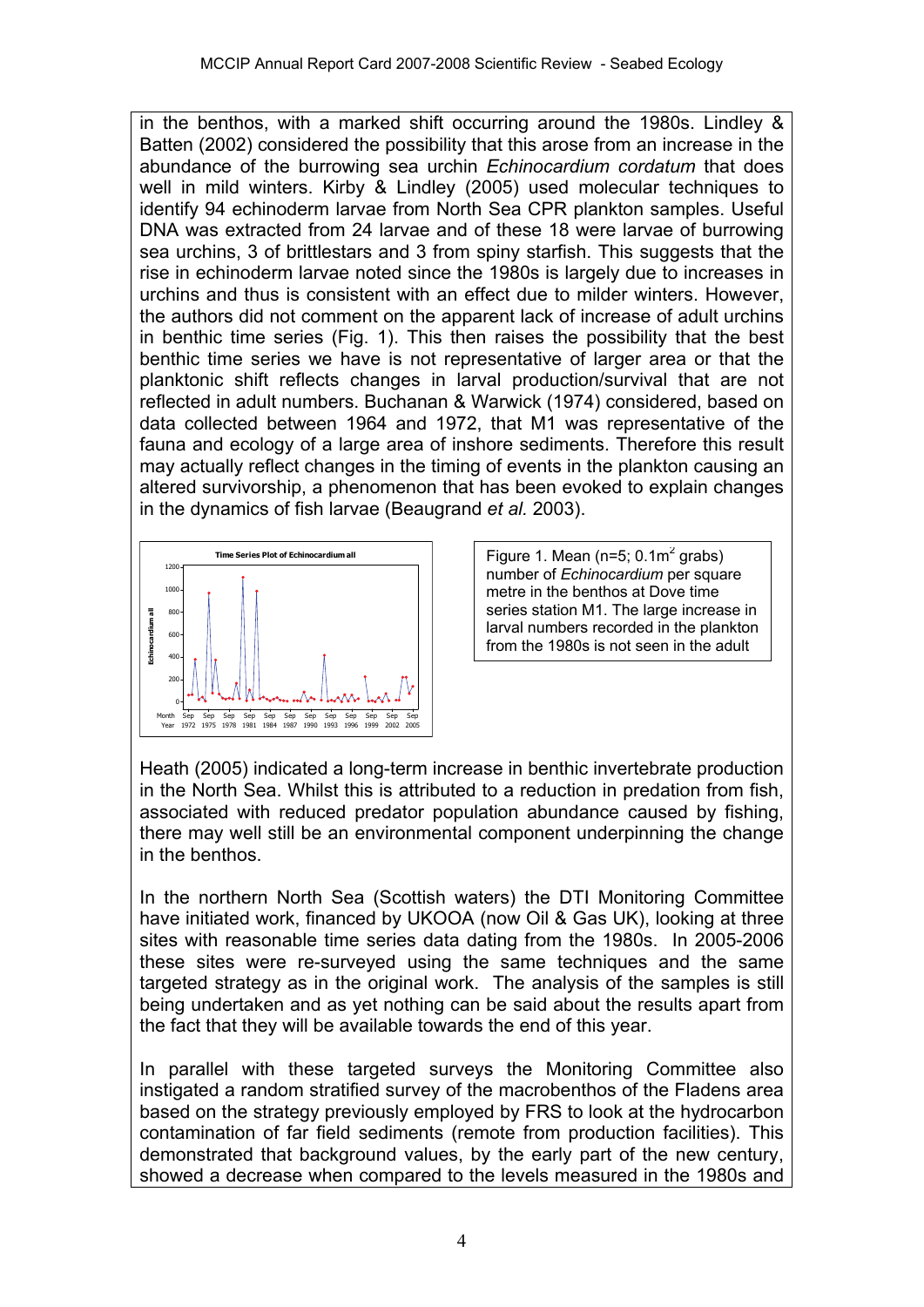in the benthos, with a marked shift occurring around the 1980s. Lindley & Batten (2002) considered the possibility that this arose from an increase in the abundance of the burrowing sea urchin *Echinocardium cordatum* that does well in mild winters. Kirby & Lindley (2005) used molecular techniques to identify 94 echinoderm larvae from North Sea CPR plankton samples. Useful DNA was extracted from 24 larvae and of these 18 were larvae of burrowing sea urchins, 3 of brittlestars and 3 from spiny starfish. This suggests that the rise in echinoderm larvae noted since the 1980s is largely due to increases in urchins and thus is consistent with an effect due to milder winters. However, the authors did not comment on the apparent lack of increase of adult urchins in benthic time series (Fig. 1). This then raises the possibility that the best benthic time series we have is not representative of larger area or that the planktonic shift reflects changes in larval production/survival that are not reflected in adult numbers. Buchanan & Warwick (1974) considered, based on data collected between 1964 and 1972, that M1 was representative of the fauna and ecology of a large area of inshore sediments. Therefore this result may actually reflect changes in the timing of events in the plankton causing an altered survivorship, a phenomenon that has been evoked to explain changes in the dynamics of fish larvae (Beaugrand *et al.* 2003).



Figure 1. Mean ( $n=5$ ; 0.1 $m<sup>2</sup>$  grabs) number of *Echinocardium* per square metre in the benthos at Dove time series station M1. The large increase in larval numbers recorded in the plankton from the 1980s is not seen in the adult

Heath (2005) indicated a long-term increase in benthic invertebrate production in the North Sea. Whilst this is attributed to a reduction in predation from fish, associated with reduced predator population abundance caused by fishing, there may well still be an environmental component underpinning the change in the benthos.

In the northern North Sea (Scottish waters) the DTI Monitoring Committee have initiated work, financed by UKOOA (now Oil & Gas UK), looking at three sites with reasonable time series data dating from the 1980s. In 2005-2006 these sites were re-surveyed using the same techniques and the same targeted strategy as in the original work. The analysis of the samples is still being undertaken and as yet nothing can be said about the results apart from the fact that they will be available towards the end of this year.

In parallel with these targeted surveys the Monitoring Committee also instigated a random stratified survey of the macrobenthos of the Fladens area based on the strategy previously employed by FRS to look at the hydrocarbon contamination of far field sediments (remote from production facilities). This demonstrated that background values, by the early part of the new century, showed a decrease when compared to the levels measured in the 1980s and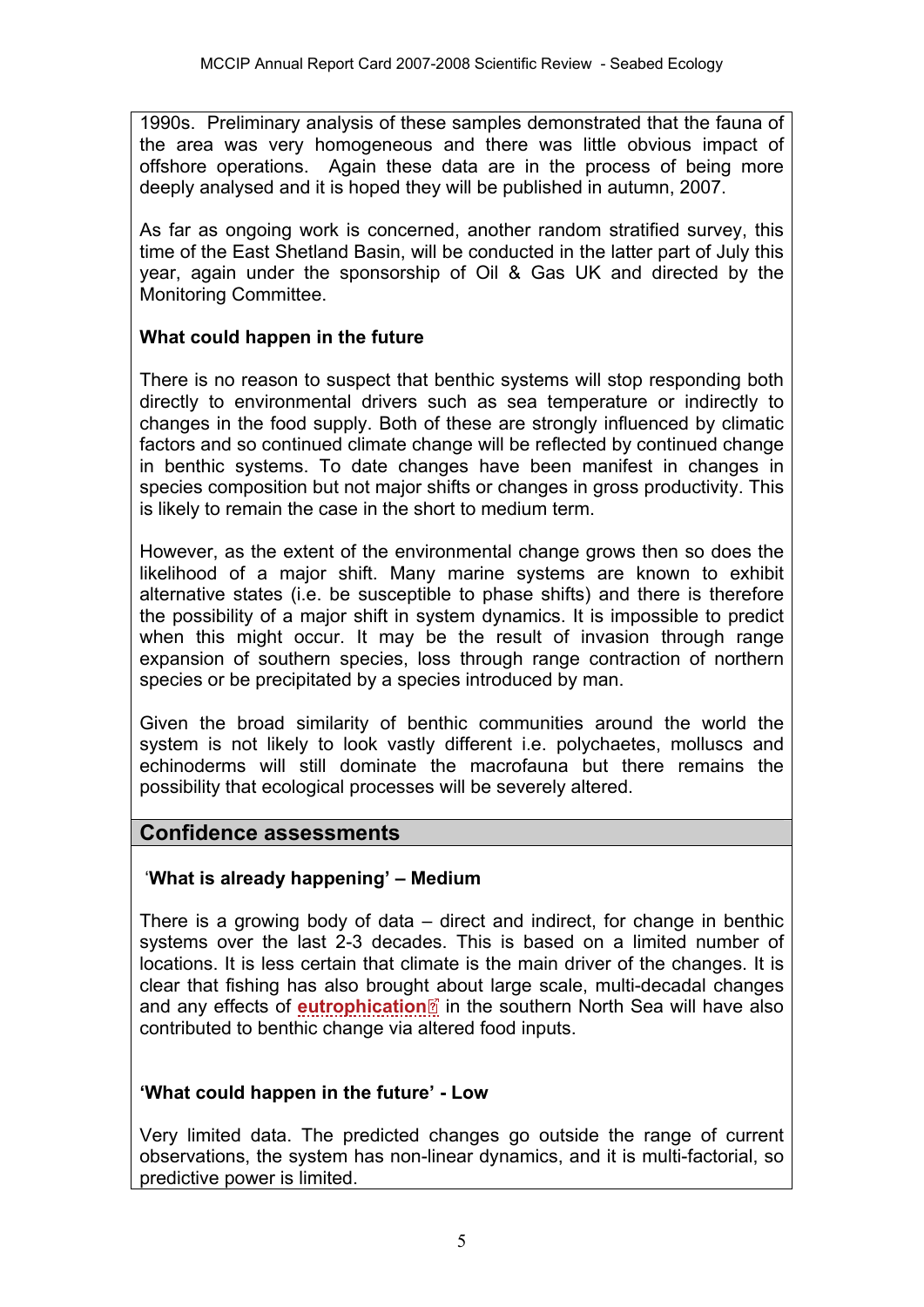1990s. Preliminary analysis of these samples demonstrated that the fauna of the area was very homogeneous and there was little obvious impact of offshore operations. Again these data are in the process of being more deeply analysed and it is hoped they will be published in autumn, 2007.

As far as ongoing work is concerned, another random stratified survey, this time of the East Shetland Basin, will be conducted in the latter part of July this year, again under the sponsorship of Oil & Gas UK and directed by the Monitoring Committee.

## **What could happen in the future**

There is no reason to suspect that benthic systems will stop responding both directly to environmental drivers such as sea temperature or indirectly to changes in the food supply. Both of these are strongly influenced by climatic factors and so continued climate change will be reflected by continued change in benthic systems. To date changes have been manifest in changes in species composition but not major shifts or changes in gross productivity. This is likely to remain the case in the short to medium term.

However, as the extent of the environmental change grows then so does the likelihood of a major shift. Many marine systems are known to exhibit alternative states (i.e. be susceptible to phase shifts) and there is therefore the possibility of a major shift in system dynamics. It is impossible to predict when this might occur. It may be the result of invasion through range expansion of southern species, loss through range contraction of northern species or be precipitated by a species introduced by man.

Given the broad similarity of benthic communities around the world the system is not likely to look vastly different i.e. polychaetes, molluscs and echinoderms will still dominate the macrofauna but there remains the possibility that ecological processes will be severely altered.

# **Confidence assessments**

## '**What is already happening' – Medium**

There is a growing body of data – direct and indirect, for change in benthic systems over the last 2-3 decades. This is based on a limited number of locations. It is less certain that climate is the main driver of the changes. It is clear that fishing has also broug[ht a](http://www.mccip.org.uk/arc/2007/glossary.htm)bout large scale, multi-decadal changes and any effects of **[eutrophication](http://www.mccip.org.uk/arc/2007/glossary.htm#Eutrophication)**<sup>2</sup> in the southern North Sea will have also contributed to benthic change via altered food inputs.

## **'What could happen in the future' - Low**

Very limited data. The predicted changes go outside the range of current observations, the system has non-linear dynamics, and it is multi-factorial, so predictive power is limited.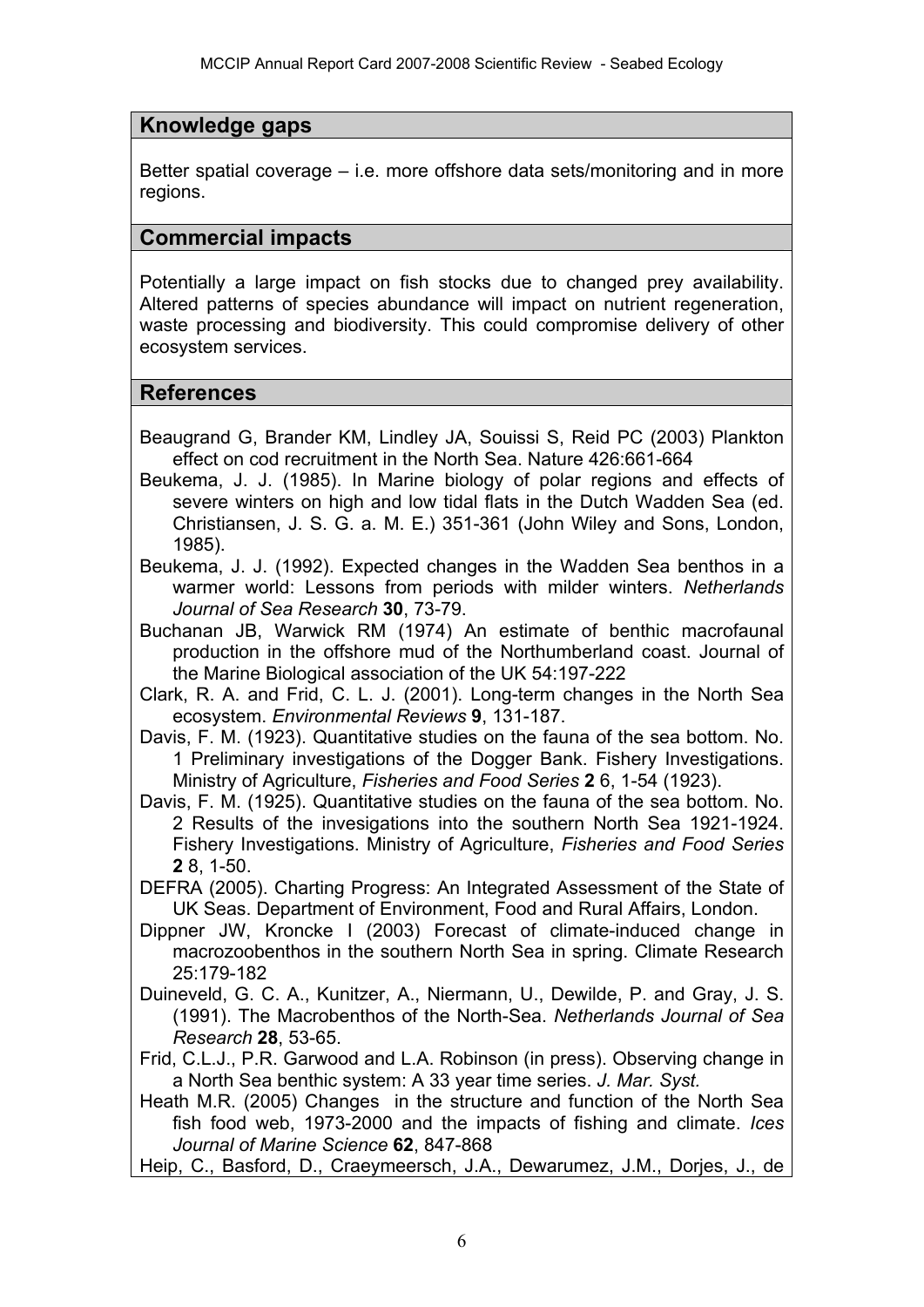# **Knowledge gaps**

Better spatial coverage – i.e. more offshore data sets/monitoring and in more regions.

## **Commercial impacts**

Potentially a large impact on fish stocks due to changed prey availability. Altered patterns of species abundance will impact on nutrient regeneration, waste processing and biodiversity. This could compromise delivery of other ecosystem services.

## **References**

- Beaugrand G, Brander KM, Lindley JA, Souissi S, Reid PC (2003) Plankton effect on cod recruitment in the North Sea. Nature 426:661-664
- Beukema, J. J. (1985). In Marine biology of polar regions and effects of severe winters on high and low tidal flats in the Dutch Wadden Sea (ed. Christiansen, J. S. G. a. M. E.) 351-361 (John Wiley and Sons, London, 1985).
- Beukema, J. J. (1992). Expected changes in the Wadden Sea benthos in a warmer world: Lessons from periods with milder winters. *Netherlands Journal of Sea Research* **30**, 73-79.

Buchanan JB, Warwick RM (1974) An estimate of benthic macrofaunal production in the offshore mud of the Northumberland coast. Journal of the Marine Biological association of the UK 54:197-222

Clark, R. A. and Frid, C. L. J. (2001). Long-term changes in the North Sea ecosystem. *Environmental Reviews* **9**, 131-187.

Davis, F. M. (1923). Quantitative studies on the fauna of the sea bottom. No. 1 Preliminary investigations of the Dogger Bank. Fishery Investigations. Ministry of Agriculture, *Fisheries and Food Series* **2** 6, 1-54 (1923).

Davis, F. M. (1925). Quantitative studies on the fauna of the sea bottom. No. 2 Results of the invesigations into the southern North Sea 1921-1924. Fishery Investigations. Ministry of Agriculture, *Fisheries and Food Series* **2** 8, 1-50.

DEFRA (2005). Charting Progress: An Integrated Assessment of the State of UK Seas. Department of Environment, Food and Rural Affairs, London.

- Dippner JW, Kroncke I (2003) Forecast of climate-induced change in macrozoobenthos in the southern North Sea in spring. Climate Research 25:179-182
- Duineveld, G. C. A., Kunitzer, A., Niermann, U., Dewilde, P. and Gray, J. S. (1991). The Macrobenthos of the North-Sea. *Netherlands Journal of Sea Research* **28**, 53-65.
- Frid, C.L.J., P.R. Garwood and L.A. Robinson (in press). Observing change in a North Sea benthic system: A 33 year time series. *J. Mar. Syst.*
- Heath M.R. (2005) Changes in the structure and function of the North Sea fish food web, 1973-2000 and the impacts of fishing and climate. *Ices Journal of Marine Science* **62**, 847-868

Heip, C., Basford, D., Craeymeersch, J.A., Dewarumez, J.M., Dorjes, J., de